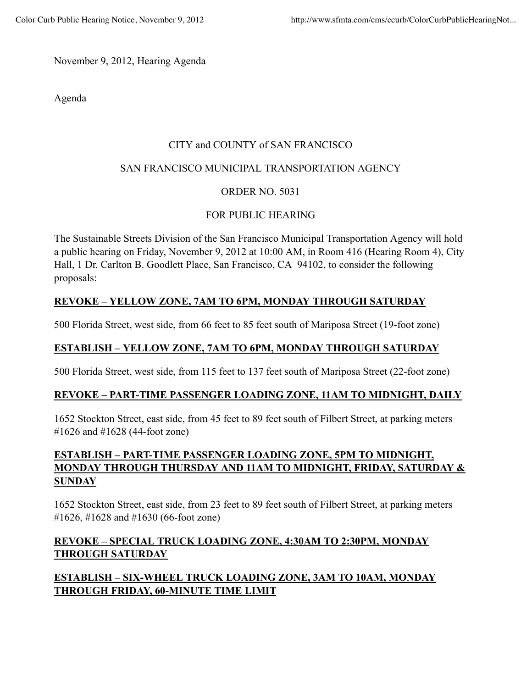November 9, 2012, Hearing Agenda

Agenda

### CITY and COUNTY of SAN FRANCISCO

### SAN FRANCISCO MUNICIPAL TRANSPORTATION AGENCY

### ORDER NO. 5031

### FOR PUBLIC HEARING

The Sustainable Streets Division of the San Francisco Municipal Transportation Agency will hold a public hearing on Friday, November 9, 2012 at 10:00 AM, in Room 416 (Hearing Room 4), City Hall, 1 Dr. Carlton B. Goodlett Place, San Francisco, CA 94102, to consider the following proposals:

# **REVOKE – YELLOW ZONE, 7AM TO 6PM, MONDAY THROUGH SATURDAY**

500 Florida Street, west side, from 66 feet to 85 feet south of Mariposa Street (19-foot zone)

## **ESTABLISH – YELLOW ZONE, 7AM TO 6PM, MONDAY THROUGH SATURDAY**

500 Florida Street, west side, from 115 feet to 137 feet south of Mariposa Street (22-foot zone)

### **REVOKE – PART-TIME PASSENGER LOADING ZONE, 11AM TO MIDNIGHT, DAILY**

1652 Stockton Street, east side, from 45 feet to 89 feet south of Filbert Street, at parking meters #1626 and #1628 (44-foot zone)

# **ESTABLISH – PART-TIME PASSENGER LOADING ZONE, 5PM TO MIDNIGHT, MONDAY THROUGH THURSDAY AND 11AM TO MIDNIGHT, FRIDAY, SATURDAY & SUNDAY**

1652 Stockton Street, east side, from 23 feet to 89 feet south of Filbert Street, at parking meters #1626, #1628 and #1630 (66-foot zone)

# **REVOKE – SPECIAL TRUCK LOADING ZONE, 4:30AM TO 2:30PM, MONDAY THROUGH SATURDAY**

# **ESTABLISH – SIX-WHEEL TRUCK LOADING ZONE, 3AM TO 10AM, MONDAY THROUGH FRIDAY, 60-MINUTE TIME LIMIT**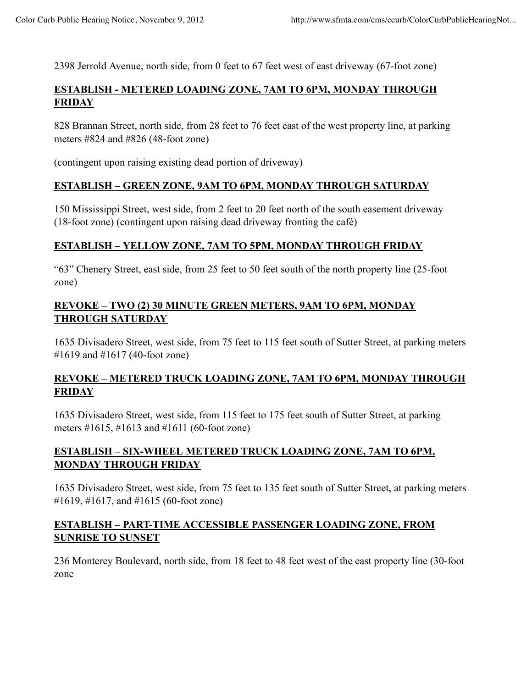2398 Jerrold Avenue, north side, from 0 feet to 67 feet west of east driveway (67-foot zone)

## **ESTABLISH - METERED LOADING ZONE, 7AM TO 6PM, MONDAY THROUGH FRIDAY**

828 Brannan Street, north side, from 28 feet to 76 feet east of the west property line, at parking meters #824 and #826 (48-foot zone)

(contingent upon raising existing dead portion of driveway)

### **ESTABLISH – GREEN ZONE, 9AM TO 6PM, MONDAY THROUGH SATURDAY**

150 Mississippi Street, west side, from 2 feet to 20 feet north of the south easement driveway (18-foot zone) (contingent upon raising dead driveway fronting the café)

### **ESTABLISH – YELLOW ZONE, 7AM TO 5PM, MONDAY THROUGH FRIDAY**

"63" Chenery Street, east side, from 25 feet to 50 feet south of the north property line (25-foot zone)

### **REVOKE – TWO (2) 30 MINUTE GREEN METERS, 9AM TO 6PM, MONDAY THROUGH SATURDAY**

1635 Divisadero Street, west side, from 75 feet to 115 feet south of Sutter Street, at parking meters #1619 and #1617 (40-foot zone)

### **REVOKE – METERED TRUCK LOADING ZONE, 7AM TO 6PM, MONDAY THROUGH FRIDAY**

1635 Divisadero Street, west side, from 115 feet to 175 feet south of Sutter Street, at parking meters #1615, #1613 and #1611 (60-foot zone)

### **ESTABLISH – SIX-WHEEL METERED TRUCK LOADING ZONE, 7AM TO 6PM, MONDAY THROUGH FRIDAY**

1635 Divisadero Street, west side, from 75 feet to 135 feet south of Sutter Street, at parking meters #1619, #1617, and #1615 (60-foot zone)

### **ESTABLISH – PART-TIME ACCESSIBLE PASSENGER LOADING ZONE, FROM SUNRISE TO SUNSET**

236 Monterey Boulevard, north side, from 18 feet to 48 feet west of the east property line (30-foot zone